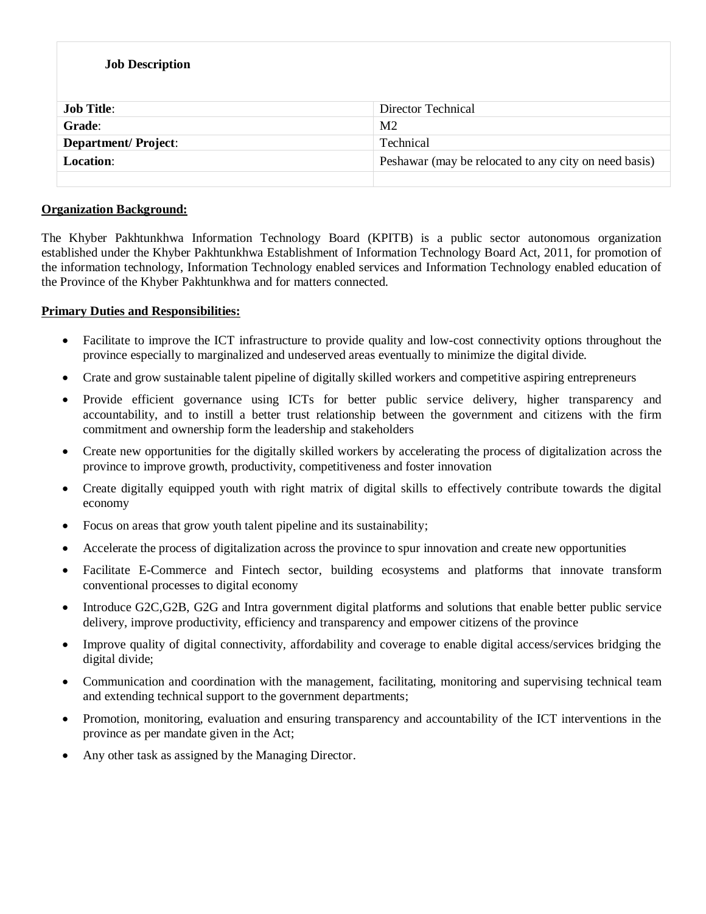| <b>Job Description</b>     |                                                       |
|----------------------------|-------------------------------------------------------|
| <b>Job Title:</b>          | Director Technical                                    |
| Grade:                     | M <sub>2</sub>                                        |
| <b>Department/Project:</b> | Technical                                             |
| <b>Location:</b>           | Peshawar (may be relocated to any city on need basis) |
|                            |                                                       |

## **Organization Background:**

The Khyber Pakhtunkhwa Information Technology Board (KPITB) is a public sector autonomous organization established under the Khyber Pakhtunkhwa Establishment of Information Technology Board Act, 2011, for promotion of the information technology, Information Technology enabled services and Information Technology enabled education of the Province of the Khyber Pakhtunkhwa and for matters connected.

### **Primary Duties and Responsibilities:**

- Facilitate to improve the ICT infrastructure to provide quality and low-cost connectivity options throughout the province especially to marginalized and undeserved areas eventually to minimize the digital divide.
- Crate and grow sustainable talent pipeline of digitally skilled workers and competitive aspiring entrepreneurs
- Provide efficient governance using ICTs for better public service delivery, higher transparency and accountability, and to instill a better trust relationship between the government and citizens with the firm commitment and ownership form the leadership and stakeholders
- Create new opportunities for the digitally skilled workers by accelerating the process of digitalization across the province to improve growth, productivity, competitiveness and foster innovation
- Create digitally equipped youth with right matrix of digital skills to effectively contribute towards the digital economy
- Focus on areas that grow youth talent pipeline and its sustainability;
- Accelerate the process of digitalization across the province to spur innovation and create new opportunities
- Facilitate E-Commerce and Fintech sector, building ecosystems and platforms that innovate transform conventional processes to digital economy
- Introduce G2C,G2B, G2G and Intra government digital platforms and solutions that enable better public service delivery, improve productivity, efficiency and transparency and empower citizens of the province
- Improve quality of digital connectivity, affordability and coverage to enable digital access/services bridging the digital divide;
- Communication and coordination with the management, facilitating, monitoring and supervising technical team and extending technical support to the government departments;
- Promotion, monitoring, evaluation and ensuring transparency and accountability of the ICT interventions in the province as per mandate given in the Act;
- Any other task as assigned by the Managing Director.